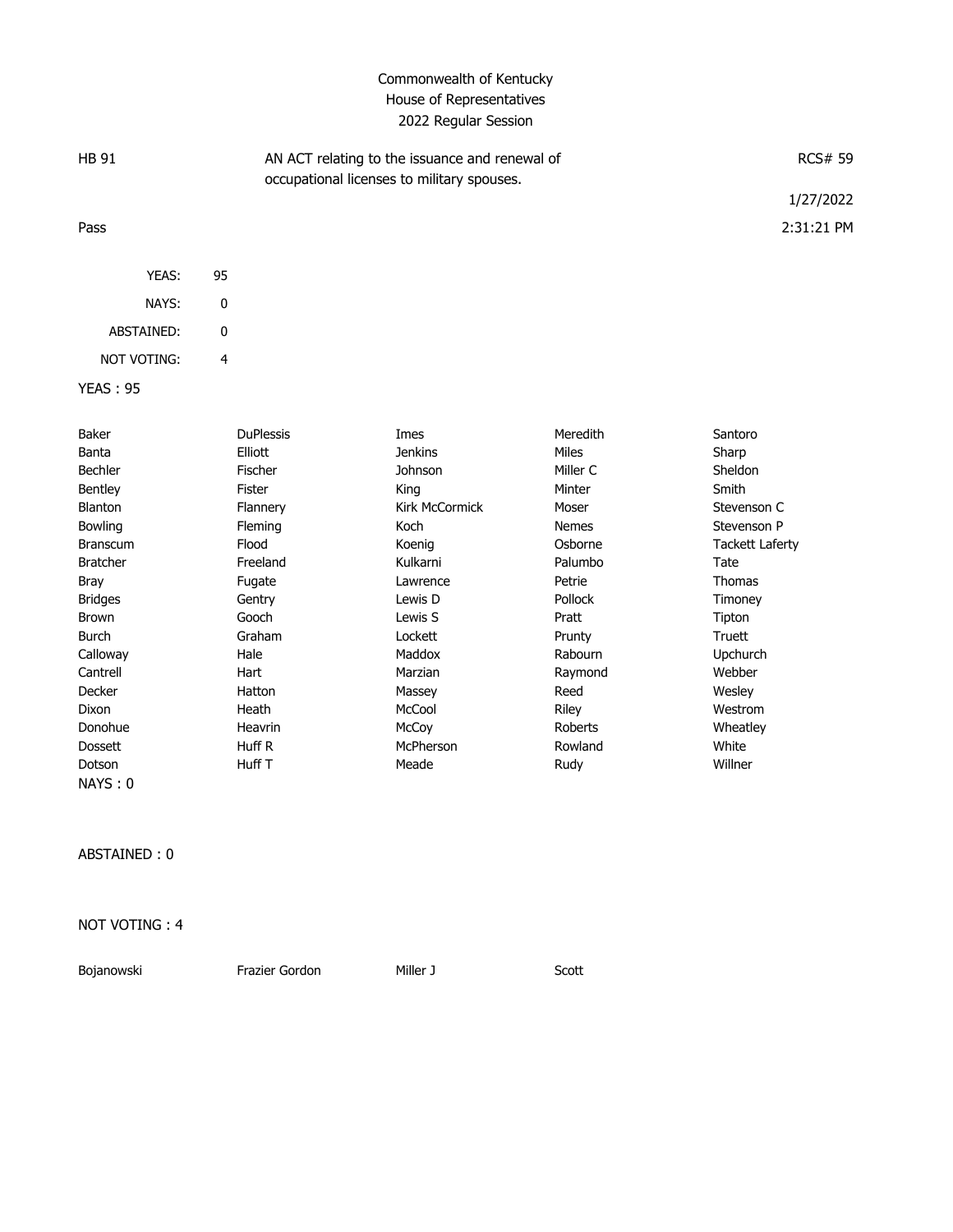## Commonwealth of Kentucky House of Representatives 2022 Regular Session

| <b>HB 91</b> |    | AN ACT relating to the issuance and renewal of<br>occupational licenses to military spouses. | <b>RCS# 59</b> |
|--------------|----|----------------------------------------------------------------------------------------------|----------------|
|              |    |                                                                                              | 1/27/2022      |
| Pass         |    |                                                                                              | 2:31:21 PM     |
|              |    |                                                                                              |                |
| YEAS:        | 95 |                                                                                              |                |
| NAYS:        | 0  |                                                                                              |                |
| ABSTAINED:   | 0  |                                                                                              |                |

NOT VOTING: 4

YEAS : 95

| Baker           | <b>DuPlessis</b> | Imes                  | Meredith     | Santoro                |
|-----------------|------------------|-----------------------|--------------|------------------------|
| Banta           | Elliott          | <b>Jenkins</b>        | Miles        | Sharp                  |
| Bechler         | Fischer          | Johnson               | Miller C     | Sheldon                |
| Bentley         | Fister           | King                  | Minter       | Smith                  |
| Blanton         | Flannery         | <b>Kirk McCormick</b> | Moser        | Stevenson C            |
| <b>Bowling</b>  | <b>Fleming</b>   | Koch                  | <b>Nemes</b> | Stevenson P            |
| <b>Branscum</b> | Flood            | Koenig                | Osborne      | <b>Tackett Laferty</b> |
| <b>Bratcher</b> | Freeland         | Kulkarni              | Palumbo      | Tate                   |
| <b>Bray</b>     | Fugate           | Lawrence              | Petrie       | Thomas                 |
| <b>Bridges</b>  | Gentry           | Lewis D               | Pollock      | Timoney                |
| <b>Brown</b>    | Gooch            | Lewis S               | Pratt        | Tipton                 |
| Burch           | Graham           | Lockett               | Prunty       | Truett                 |
| Calloway        | Hale             | Maddox                | Rabourn      | Upchurch               |
| Cantrell        | Hart             | Marzian               | Raymond      | Webber                 |
| Decker          | Hatton           | Massey                | Reed         | Wesley                 |
| Dixon           | Heath            | McCool                | <b>Riley</b> | Westrom                |
| Donohue         | Heavrin          | McCoy                 | Roberts      | Wheatley               |
| <b>Dossett</b>  | Huff R           | McPherson             | Rowland      | White                  |
| Dotson          | Huff T           | Meade                 | Rudy         | Willner                |
| NAYS:0          |                  |                       |              |                        |

ABSTAINED : 0

NOT VOTING : 4

Bojanowski **Frazier Gordon** Miller J Scott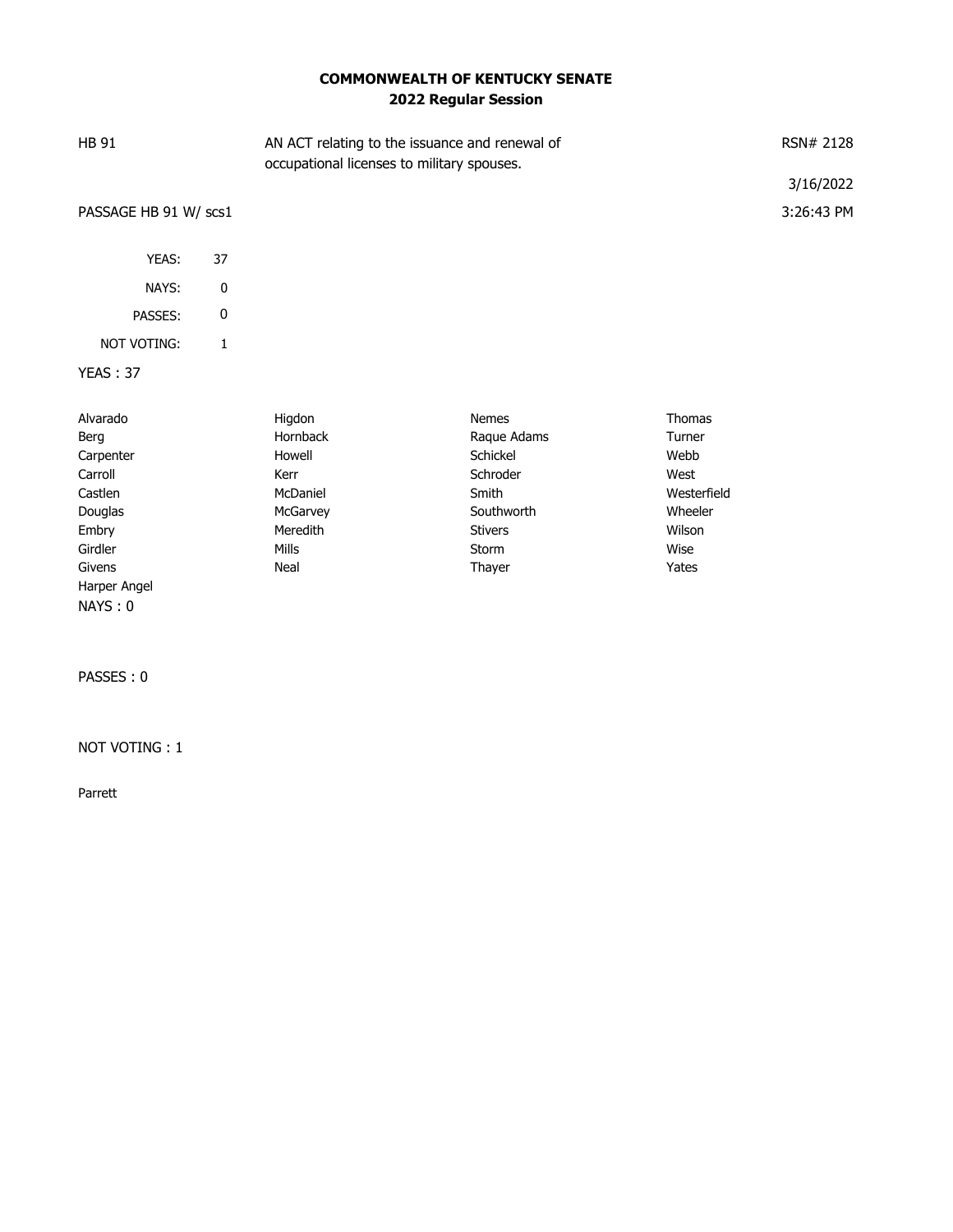## **COMMONWEALTH OF KENTUCKY SENATE 2022 Regular Session**

| <b>HB 91</b>          |    | AN ACT relating to the issuance and renewal of<br>occupational licenses to military spouses. |              | RSN# 2128     |            |
|-----------------------|----|----------------------------------------------------------------------------------------------|--------------|---------------|------------|
|                       |    |                                                                                              |              |               | 3/16/2022  |
| PASSAGE HB 91 W/ scs1 |    |                                                                                              |              |               | 3:26:43 PM |
| YEAS:                 | 37 |                                                                                              |              |               |            |
| NAYS:                 | 0  |                                                                                              |              |               |            |
| PASSES:               | 0  |                                                                                              |              |               |            |
| NOT VOTING:           | 1  |                                                                                              |              |               |            |
| <b>YEAS: 37</b>       |    |                                                                                              |              |               |            |
| Alvarado              |    | Higdon                                                                                       | <b>Nemes</b> | <b>Thomas</b> |            |

| Berg         | Hornback | Raque Adams    | Turner      |
|--------------|----------|----------------|-------------|
| Carpenter    | Howell   | Schickel       | Webb        |
| Carroll      | Kerr     | Schroder       | West        |
| Castlen      | McDaniel | Smith          | Westerfield |
| Douglas      | McGarvey | Southworth     | Wheeler     |
| Embry        | Meredith | <b>Stivers</b> | Wilson      |
| Girdler      | Mills    | Storm          | Wise        |
| Givens       | Neal     | Thayer         | Yates       |
| Harper Angel |          |                |             |
| NAYS: 0      |          |                |             |

PASSES : 0

NOT VOTING : 1

Parrett